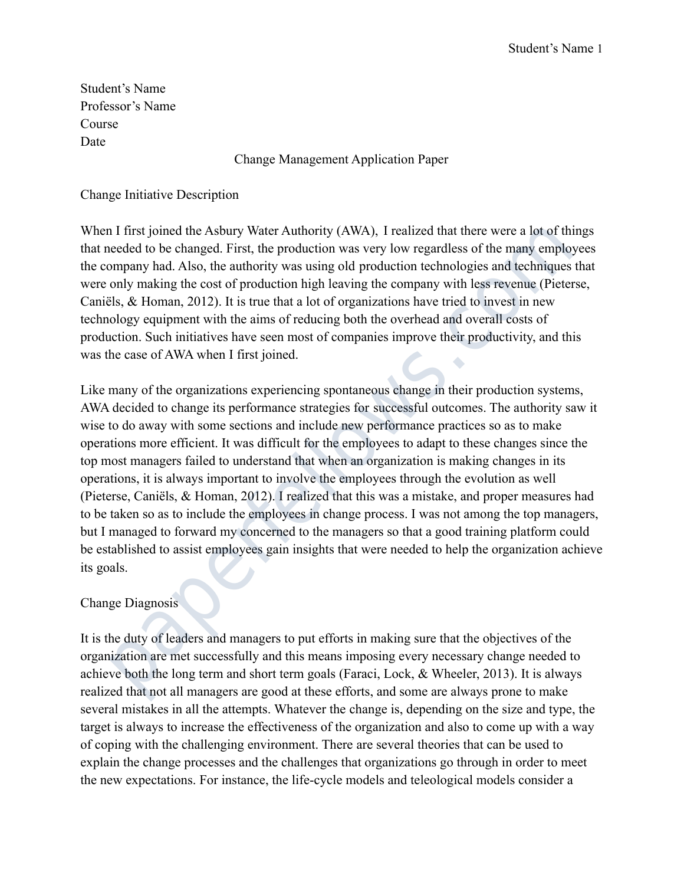Student's Name Professor's Name Course Date

### Change Management Application Paper

#### Change Initiative Description

When I first joined the Asbury Water Authority (AWA), I realized that there were a lot of things that needed to be changed. First, the production was very low regardless of the many employees the company had. Also, the authority was using old production technologies and techniques that were only making the cost of production high leaving the company with less revenue (Pieterse, Caniëls, & Homan, 2012). It is true that a lot of organizations have tried to invest in new technology equipment with the aims of reducing both the overhead and overall costs of production. Such initiatives have seen most of companies improve their productivity, and this was the case of AWA when I first joined.

Like many of the organizations experiencing spontaneous change in their production systems, AWA decided to change its performance strategies for successful outcomes. The authority saw it wise to do away with some sections and include new performance practices so as to make operations more efficient. It was difficult for the employees to adapt to these changes since the top most managers failed to understand that when an organization is making changes in its operations, it is always important to involve the employees through the evolution as well (Pieterse, Caniëls, & Homan, 2012). I realized that this was a mistake, and proper measures had to be taken so as to include the employees in change process. I was not among the top managers, but I managed to forward my concerned to the managers so that a good training platform could be established to assist employees gain insights that were needed to help the organization achieve its goals. Thus ty other and the cost of Authority (WAW), The and the we were a for one of the same that the wear and the wear and the same that the wear and the same that the same of the many emplompany had. Also, the authority was

### Change Diagnosis

It is the duty of leaders and managers to put efforts in making sure that the objectives of the organization are met successfully and this means imposing every necessary change needed to achieve both the long term and short term goals (Faraci, Lock, & Wheeler, 2013). It is always realized that not all managers are good at these efforts, and some are always prone to make several mistakes in all the attempts. Whatever the change is, depending on the size and type, the target is always to increase the effectiveness of the organization and also to come up with a way of coping with the challenging environment. There are several theories that can be used to explain the change processes and the challenges that organizations go through in order to meet the new expectations. For instance, the life-cycle models and teleological models consider a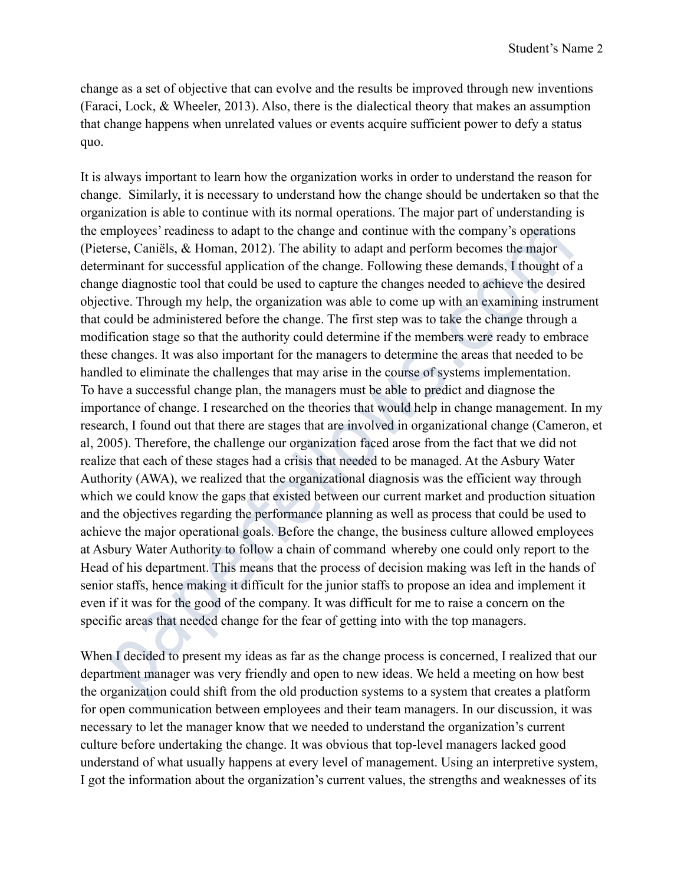change as a set of objective that can evolve and the results be improved through new inventions (Faraci, Lock, & Wheeler, 2013). Also, there is the dialectical theory that makes an assumption that change happens when unrelated values or events acquire sufficient power to defy a status quo.

It is always important to learn how the organization works in order to understand the reason for change. Similarly, it is necessary to understand how the change should be undertaken so that the organization is able to continue with its normal operations. The major part of understanding is the employees' readiness to adapt to the change and continue with the company's operations (Pieterse, Caniëls, & Homan, 2012). The ability to adapt and perform becomes the major determinant for successful application of the change. Following these demands, I thought of a change diagnostic tool that could be used to capture the changes needed to achieve the desired objective. Through my help, the organization was able to come up with an examining instrument that could be administered before the change. The first step was to take the change through a modification stage so that the authority could determine if the members were ready to embrace these changes. It was also important for the managers to determine the areas that needed to be handled to eliminate the challenges that may arise in the course of systems implementation. To have a successful change plan, the managers must be able to predict and diagnose the importance of change. I researched on the theories that would help in change management. In my research, I found out that there are stages that are involved in organizational change (Cameron, et al, 2005). Therefore, the challenge our organization faced arose from the fact that we did not realize that each of these stages had a crisis that needed to be managed. At the Asbury Water Authority (AWA), we realized that the organizational diagnosis was the efficient way through which we could know the gaps that existed between our current market and production situation and the objectives regarding the performance planning as well as process that could be used to achieve the major operational goals. Before the change, the business culture allowed employees at Asbury Water Authority to follow a chain of command whereby one could only report to the Head of his department. This means that the process of decision making was left in the hands of senior staffs, hence making it difficult for the junior staffs to propose an idea and implement it even if it was for the good of the company. It was difficult for me to raise a concern on the specific areas that needed change for the fear of getting into with the top managers. mpapey ser casemess to adapt to the change and commune with the company is operator<br>trace, Canicles, & Homan, 2012). The ability to adapt and perform becomes the major<br>minant for successful application of the change. Follo

When I decided to present my ideas as far as the change process is concerned, I realized that our department manager was very friendly and open to new ideas. We held a meeting on how best the organization could shift from the old production systems to a system that creates a platform for open communication between employees and their team managers. In our discussion, it was necessary to let the manager know that we needed to understand the organization's current culture before undertaking the change. It was obvious that top-level managers lacked good understand of what usually happens at every level of management. Using an interpretive system, I got the information about the organization's current values, the strengths and weaknesses of its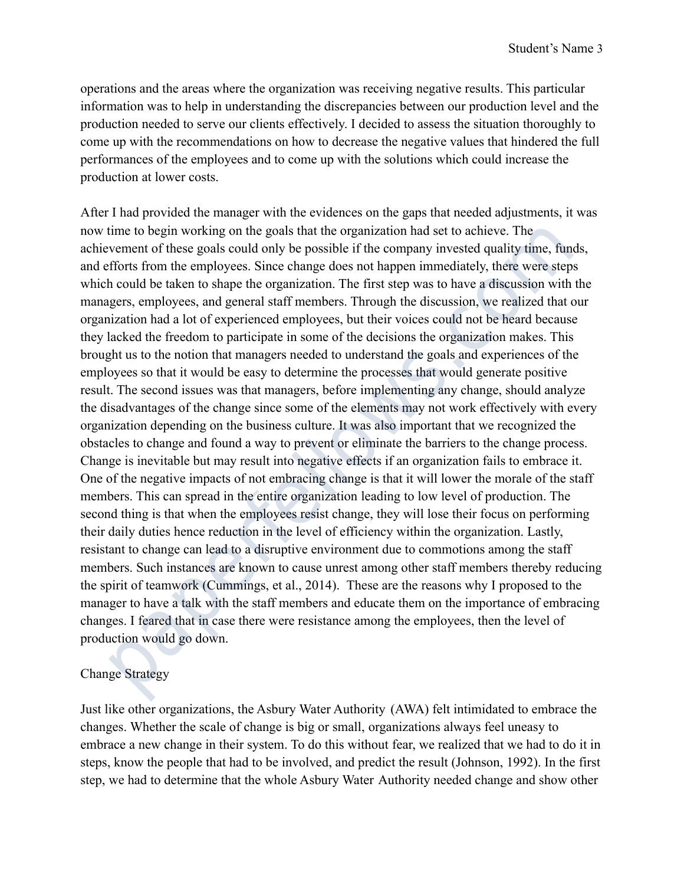operations and the areas where the organization was receiving negative results. This particular information was to help in understanding the discrepancies between our production level and the production needed to serve our clients effectively. I decided to assess the situation thoroughly to come up with the recommendations on how to decrease the negative values that hindered the full performances of the employees and to come up with the solutions which could increase the production at lower costs.

After I had provided the manager with the evidences on the gaps that needed adjustments, it was now time to begin working on the goals that the organization had set to achieve. The achievement of these goals could only be possible if the company invested quality time, funds, and efforts from the employees. Since change does not happen immediately, there were steps which could be taken to shape the organization. The first step was to have a discussion with the managers, employees, and general staff members. Through the discussion, we realized that our organization had a lot of experienced employees, but their voices could not be heard because they lacked the freedom to participate in some of the decisions the organization makes. This brought us to the notion that managers needed to understand the goals and experiences of the employees so that it would be easy to determine the processes that would generate positive result. The second issues was that managers, before implementing any change, should analyze the disadvantages of the change since some of the elements may not work effectively with every organization depending on the business culture. It was also important that we recognized the obstacles to change and found a way to prevent or eliminate the barriers to the change process. Change is inevitable but may result into negative effects if an organization fails to embrace it. One of the negative impacts of not embracing change is that it will lower the morale of the staff members. This can spread in the entire organization leading to low level of production. The second thing is that when the employees resist change, they will lose their focus on performing their daily duties hence reduction in the level of efficiency within the organization. Lastly, resistant to change can lead to a disruptive environment due to commotions among the staff members. Such instances are known to cause unrest among other staff members thereby reducing the spirit of teamwork (Cummings, et al., 2014). These are the reasons why I proposed to the manager to have a talk with the staff members and educate them on the importance of embracing changes. I feared that in case there were resistance among the employees, then the level of production would go down. home to oggn wonking oi the guass that the regarization hata set to achieve. The sect of since the counter of these goals could only be possible if the company invested quality time, furthers from the couplexes. Since chan

### Change Strategy

Just like other organizations, the Asbury Water Authority (AWA) felt intimidated to embrace the changes. Whether the scale of change is big or small, organizations always feel uneasy to embrace a new change in their system. To do this without fear, we realized that we had to do it in steps, know the people that had to be involved, and predict the result (Johnson, 1992). In the first step, we had to determine that the whole Asbury Water Authority needed change and show other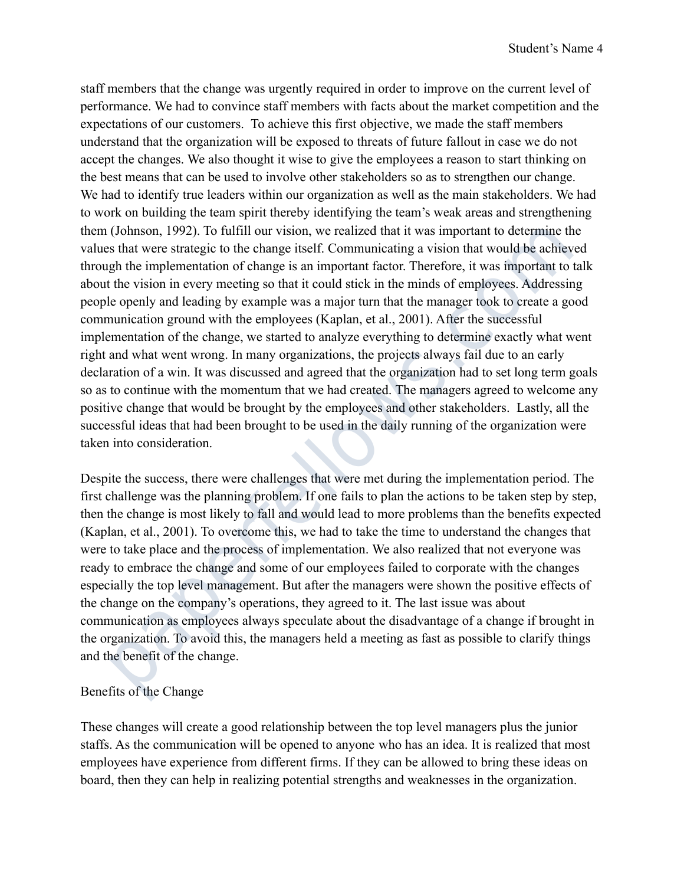staff members that the change was urgently required in order to improve on the current level of performance. We had to convince staff members with facts about the market competition and the expectations of our customers. To achieve this first objective, we made the staff members understand that the organization will be exposed to threats of future fallout in case we do not accept the changes. We also thought it wise to give the employees a reason to start thinking on the best means that can be used to involve other stakeholders so as to strengthen our change. We had to identify true leaders within our organization as well as the main stakeholders. We had to work on building the team spirit thereby identifying the team's weak areas and strengthening them (Johnson, 1992). To fulfill our vision, we realized that it was important to determine the values that were strategic to the change itself. Communicating a vision that would be achieved through the implementation of change is an important factor. Therefore, it was important to talk about the vision in every meeting so that it could stick in the minds of employees. Addressing people openly and leading by example was a major turn that the manager took to create a good communication ground with the employees (Kaplan, et al., 2001). After the successful implementation of the change, we started to analyze everything to determine exactly what went right and what went wrong. In many organizations, the projects always fail due to an early declaration of a win. It was discussed and agreed that the organization had to set long term goals so as to continue with the momentum that we had created. The managers agreed to welcome any positive change that would be brought by the employees and other stakeholders. Lastly, all the successful ideas that had been brought to be used in the daily running of the organization were taken into consideration. (ominou), 1992.). 10 unino ou visual and the change and the change to the change of the change in the change is stant were strategie to the change is the C Communicating a vision hat would be achies to that were strategie

Despite the success, there were challenges that were met during the implementation period. The first challenge was the planning problem. If one fails to plan the actions to be taken step by step, then the change is most likely to fall and would lead to more problems than the benefits expected (Kaplan, et al., 2001). To overcome this, we had to take the time to understand the changes that were to take place and the process of implementation. We also realized that not everyone was ready to embrace the change and some of our employees failed to corporate with the changes especially the top level management. But after the managers were shown the positive effects of the change on the company's operations, they agreed to it. The last issue was about communication as employees always speculate about the disadvantage of a change if brought in the organization. To avoid this, the managers held a meeting as fast as possible to clarify things and the benefit of the change.

# Benefits of the Change

These changes will create a good relationship between the top level managers plus the junior staffs. As the communication will be opened to anyone who has an idea. It is realized that most employees have experience from different firms. If they can be allowed to bring these ideas on board, then they can help in realizing potential strengths and weaknesses in the organization.